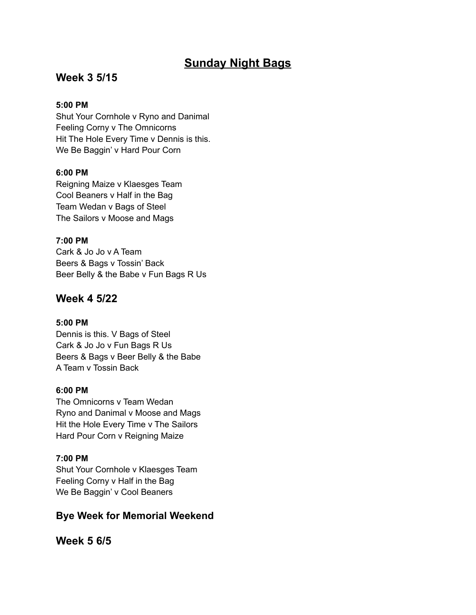# **Sunday Night Bags**

## **Week 3 5/15**

## **5:00 PM**

Shut Your Cornhole v Ryno and Danimal Feeling Corny v The Omnicorns Hit The Hole Every Time v Dennis is this. We Be Baggin' v Hard Pour Corn

## **6:00 PM**

Reigning Maize v Klaesges Team Cool Beaners v Half in the Bag Team Wedan v Bags of Steel The Sailors v Moose and Mags

## **7:00 PM**

Cark & Jo Jo v A Team Beers & Bags v Tossin' Back Beer Belly & the Babe v Fun Bags R Us

## **Week 4 5/22**

### **5:00 PM**

Dennis is this. V Bags of Steel Cark & Jo Jo v Fun Bags R Us Beers & Bags v Beer Belly & the Babe A Team v Tossin Back

### **6:00 PM**

The Omnicorns v Team Wedan Ryno and Danimal v Moose and Mags Hit the Hole Every Time v The Sailors Hard Pour Corn v Reigning Maize

## **7:00 PM**

Shut Your Cornhole v Klaesges Team Feeling Corny v Half in the Bag We Be Baggin' v Cool Beaners

## **Bye Week for Memorial Weekend**

**Week 5 6/5**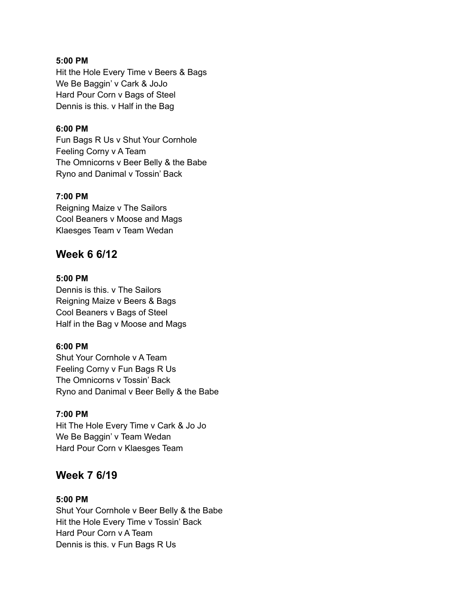### **5:00 PM**

Hit the Hole Every Time v Beers & Bags We Be Baggin' v Cark & JoJo Hard Pour Corn v Bags of Steel Dennis is this. v Half in the Bag

### **6:00 PM**

Fun Bags R Us v Shut Your Cornhole Feeling Corny v A Team The Omnicorns v Beer Belly & the Babe Ryno and Danimal v Tossin' Back

#### **7:00 PM**

Reigning Maize v The Sailors Cool Beaners v Moose and Mags Klaesges Team v Team Wedan

## **Week 6 6/12**

## **5:00 PM**

Dennis is this. v The Sailors Reigning Maize v Beers & Bags Cool Beaners v Bags of Steel Half in the Bag v Moose and Mags

#### **6:00 PM**

Shut Your Cornhole v A Team Feeling Corny v Fun Bags R Us The Omnicorns v Tossin' Back Ryno and Danimal v Beer Belly & the Babe

#### **7:00 PM**

Hit The Hole Every Time v Cark & Jo Jo We Be Baggin' v Team Wedan Hard Pour Corn v Klaesges Team

## **Week 7 6/19**

#### **5:00 PM**

Shut Your Cornhole v Beer Belly & the Babe Hit the Hole Every Time v Tossin' Back Hard Pour Corn v A Team Dennis is this. v Fun Bags R Us